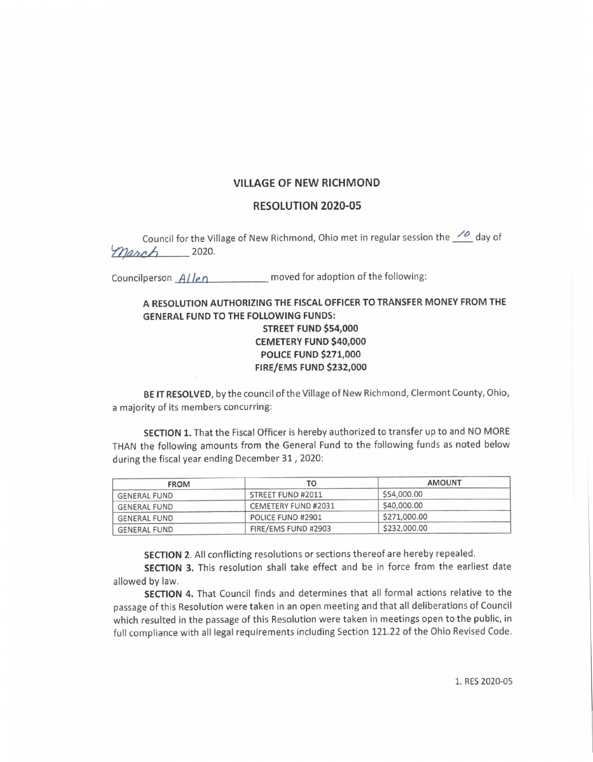## VILLAGE OF NEW RICHMOND

## RESOLUTION 2020-05

Council for the Village of New Richmond, Ohio met in regular session the  $\frac{1}{2}$  day of  $\sqrt{M}$  2020.

Councilperson  $A/len$  moved for adoption of the following:

## A RESOLUTION AUTHORIZING THE FISCAL OFFICER TO TRANSFER MONEY FROM THE GENERAL FUND TO THE FOLLOWING FUNDS: **STREET FUND \$54,000** CEMETERY FUND \$40,000 **POLICE FUND \$271,000 FIRE/EMS FUND \$232,000**

BE IT RESOLVED, by the council of the Village of New Richmond, Clermont County, Ohio, <sup>a</sup> majority of its members concurring:

SECTION 1. That the Fiscal Officer is hereby authorized to transfer up to and NO MORE THAN the following amounts from the General Fund to the following funds as noted below during the fiscal year ending December 31, 2020:

| <b>FROM</b>         | TO                  | <b>AMOUNT</b> |
|---------------------|---------------------|---------------|
| <b>GENERAL FUND</b> | STREET FUND #2011   | \$54,000.00   |
| <b>GENERAL FUND</b> | CEMETERY FUND #2031 | \$40,000.00   |
| <b>GENERAL FUND</b> | POLICE FUND #2901   | \$271,000.00  |
| <b>GENERAL FUND</b> | FIRE/EMS FUND #2903 | \$232,000.00  |

SECTION 2. All conflicting resolutions or sections thereof are hereby repealed.

SECTION 3. This resolution shall take effect and be in force from the earliest date allowed by law.

SECTION 4. That Council finds and determines that all formal actions relative to the passage of this Resolution were taken in an open meeting and that all deliberations of Council which resulted in the passage of this Resolution were taken in meetings open to the public, in full compliance with all legal requirements including Section 121. 22 of the Ohio Revised Code.

1. RES 2020-05